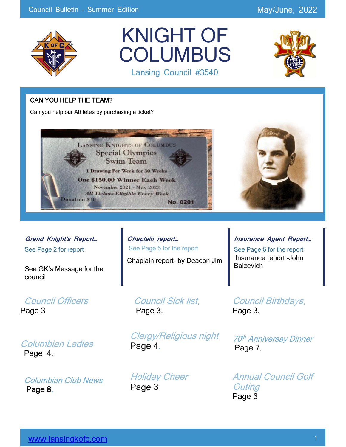

## KNIGHT OF **COLUMBUS** Lansing Council #3540



### CAN YOU HELP THE TEAM?

Can you help our Athletes by purchasing a ticket?



**Grand Knight's Report…** See Page 2 for report

Ĩ

See GK's Message for the council

Council Officers Page 3

Columbian Ladies Page 4.

Columbian Club News Page 8.

**Chaplain report…** See Page 5 for the report

Chaplain report- by Deacon Jim

Council Sick list, Page 3.

Clergy/Religious night Page 4*.*

**Holiday Cheer** Page 3

Council Birthdays, Page 3.

**Balzevich** 

**Insurance Agent Report…** See Page 6 for the report Insurance report –John

70 th Anniversay Dinner Page 7.

Annual Council Golf **Outing** Page 6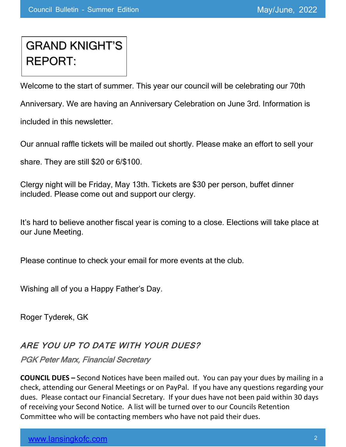## GRAND KNIGHT'S REPORT:

Welcome to the start of summer. This year our council will be celebrating our 70th

Anniversary. We are having an Anniversary Celebration on June 3rd. Information is

included in this newsletter.

Our annual raffle tickets will be mailed out shortly. Please make an effort to sell your

share. They are still \$20 or 6/\$100.

Clergy night will be Friday, May 13th. Tickets are \$30 per person, buffet dinner included. Please come out and support our clergy.

It's hard to believe another fiscal year is coming to a close. Elections will take place at our June Meeting.

Please continue to check your email for more events at the club.

Wishing all of you a Happy Father's Day.

Roger Tyderek, GK

## ARE YOU UP TO DATE WITH YOUR DUES?

PGK Peter Marx, Financial Secretary

**COUNCIL DUES –** Second Notices have been mailed out. You can pay your dues by mailing in a check, attending our General Meetings or on PayPal. If you have any questions regarding your dues. Please contact our Financial Secretary. If your dues have not been paid within 30 days of receiving your Second Notice. A list will be turned over to our Councils Retention Committee who will be contacting members who have not paid their dues.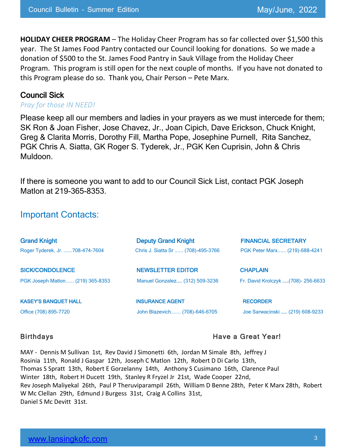**HOLIDAY CHEER PROGRAM** – The Holiday Cheer Program has so far collected over \$1,500 this year. The St James Food Pantry contacted our Council looking for donations. So we made a donation of \$500 to the St. James Food Pantry in Sauk Village from the Holiday Cheer Program. This program is still open for the next couple of months. If you have not donated to this Program please do so. Thank you, Chair Person – Pete Marx.

### Council Sick

#### *Pray for those IN NEED!*

Please keep all our members and ladies in your prayers as we must intercede for them; SK Ron & Joan Fisher, Jose Chavez, Jr., Joan Cipich, Dave Erickson, Chuck Knight, Greg & Clarita Morris, Dorothy Fill, Martha Pope, Josephine Purnell, Rita Sanchez, PGK Chris A. Siatta, GK Roger S. Tyderek, Jr., PGK Ken Cuprisin, John & Chris Muldoon.

If there is someone you want to add to our Council Sick List, contact PGK Joseph Matlon at 219-365-8353.

## Important Contacts:

| <b>Grand Knight</b>              | <b>Deputy Grand Knight</b>         | <b>FINANCIAL SECRETARY</b>         |
|----------------------------------|------------------------------------|------------------------------------|
| Roger Tyderek, Jr. 708-474-7604  | Chris J. Siatta Sr  (708)-495-3766 | PGK Peter Marx (219)-688-4241      |
| <b>SICK/CONDOLENCE</b>           | <b>NEWSLETTER EDITOR</b>           | <b>CHAPLAIN</b>                    |
| PGK Joseph Matlon (219) 365-8353 | Manuel Gonzalez (312) 509-3236     | Fr. David Krolczyk (708)- 256-6633 |
| <b>KASEY'S BANQUET HALL</b>      | <b>INSURANCE AGENT</b>             | <b>RECORDER</b>                    |
| Office (708) 895-7720            | John Blazevich (708)-646-6705      | Joe Sarwacinski  (219) 608-9233    |

#### Birthdays **Have a Great Year!**

MAY - Dennis M Sullivan 1st, Rev David J Simonetti 6th, Jordan M Simale 8th, Jeffrey J Rosinia 11th, Ronald J Gaspar 12th, Joseph C Matlon 12th, Robert D Di Carlo 13th, Thomas S Spratt 13th, Robert E Gorzelanny 14th, Anthony S Cusimano 16th, Clarence Paul Winter 18th, Robert H Ducett 19th, Stanley R Fryzel Jr 21st, Wade Cooper 22nd, Rev Joseph Maliyekal 26th, Paul P Theruviparampil 26th, William D Benne 28th, Peter K Marx 28th, Robert W Mc Clellan 29th, Edmund J Burgess 31st, Craig A Collins 31st, Daniel S Mc Devitt 31st.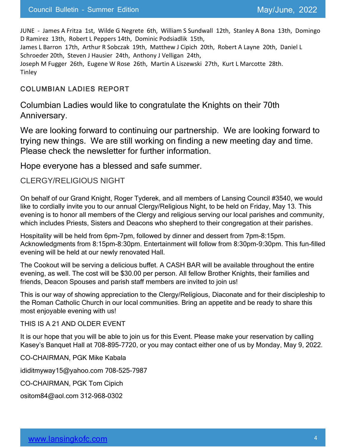JUNE - James A Fritza 1st, Wilde G Negrete 6th, William S Sundwall 12th, Stanley A Bona 13th, Domingo D Ramirez 13th, Robert L Peppers 14th, Dominic Podsiadlik 15th,

James L Barron 17th, Arthur R Sobczak 19th, Matthew J Cipich 20th, Robert A Layne 20th, Daniel L Schroeder 20th, Steven J Hausier 24th, Anthony J Velligan 24th,

Joseph M Fugger 26th, Eugene W Rose 26th, Martin A Liszewski 27th, Kurt L Marcotte 28th. **Tinley** 

### COLUMBIAN LADIES REPORT

Columbian Ladies would like to congratulate the Knights on their 70th Anniversary.

We are looking forward to continuing our partnership. We are looking forward to trying new things. We are still working on finding a new meeting day and time. Please check the newsletter for further information.

Hope everyone has a blessed and safe summer.

### CLERGY/RELIGIOUS NIGHT

On behalf of our Grand Knight, Roger Tyderek, and all members of Lansing Council #3540, we would like to cordially invite you to our annual Clergy/Religious Night, to be held on Friday, May 13. This evening is to honor all members of the Clergy and religious serving our local parishes and community, which includes Priests, Sisters and Deacons who shepherd to their congregation at their parishes.

Hospitality will be held from 6pm-7pm, followed by dinner and dessert from 7pm-8:15pm. Acknowledgments from 8:15pm-8:30pm. Entertainment will follow from 8:30pm-9:30pm. This fun-filled evening will be held at our newly renovated Hall.

The Cookout will be serving a delicious buffet. A CASH BAR will be available throughout the entire evening, as well. The cost will be \$30.00 per person. All fellow Brother Knights, their families and friends, Deacon Spouses and parish staff members are invited to join us!

This is our way of showing appreciation to the Clergy/Religious, Diaconate and for their discipleship to the Roman Catholic Church in our local communities. Bring an appetite and be ready to share this most enjoyable evening with us!

THIS IS A 21 AND OLDER EVENT

It is our hope that you will be able to join us for this Event. Please make your reservation by calling Kasey's Banquet Hall at 708-895-7720, or you may contact either one of us by Monday, May 9, 2022.

CO-CHAIRMAN, PGK Mike Kabala

ididitmyway15@yahoo.com 708-525-7987

CO-CHAIRMAN, PGK Tom Cipich

ositom84@aol.com 312-968-0302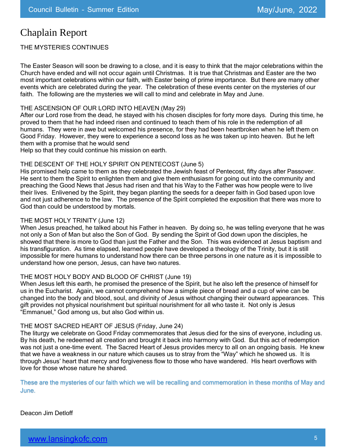## Chaplain Report

THE MYSTERIES CONTINUES

The Easter Season will soon be drawing to a close, and it is easy to think that the major celebrations within the Church have ended and will not occur again until Christmas. It is true that Christmas and Easter are the two most important celebrations within our faith, with Easter being of prime importance. But there are many other events which are celebrated during the year. The celebration of these events center on the mysteries of our faith. The following are the mysteries we will call to mind and celebrate in May and June.

#### THE ASCENSION OF OUR LORD INTO HEAVEN (May 29)

After our Lord rose from the dead, he stayed with his chosen disciples for forty more days. During this time, he proved to them that he had indeed risen and continued to teach them of his role in the redemption of all humans. They were in awe but welcomed his presence, for they had been heartbroken when he left them on Good Friday. However, they were to experience a second loss as he was taken up into heaven. But he left them with a promise that he would send

Help so that they could continue his mission on earth.

#### THE DESCENT OF THE HOLY SPIRIT ON PENTECOST (June 5)

His promised help came to them as they celebrated the Jewish feast of Pentecost, fifty days after Passover. He sent to them the Spirit to enlighten them and give them enthusiasm for going out into the community and preaching the Good News that Jesus had risen and that his Way to the Father was how people were to live their lives. Enlivened by the Spirit, they began planting the seeds for a deeper faith in God based upon love and not just adherence to the law. The presence of the Spirit completed the exposition that there was more to God than could be understood by mortals.

#### THE MOST HOLY TRINITY (June 12)

When Jesus preached, he talked about his Father in heaven. By doing so, he was telling everyone that he was not only a Son of Man but also the Son of God. By sending the Spirit of God down upon the disciples, he showed that there is more to God than just the Father and the Son. This was evidenced at Jesus baptism and his transfiguration. As time elapsed, learned people have developed a theology of the Trinity, but it is still impossible for mere humans to understand how there can be three persons in one nature as it is impossible to understand how one person, Jesus, can have two natures.

#### THE MOST HOLY BODY AND BLOOD OF CHRIST (June 19)

When Jesus left this earth, he promised the presence of the Spirit, but he also left the presence of himself for us in the Eucharist. Again, we cannot comprehend how a simple piece of bread and a cup of wine can be changed into the body and blood, soul, and divinity of Jesus without changing their outward appearances. This gift provides not physical nourishment but spiritual nourishment for all who taste it. Not only is Jesus "Emmanuel," God among us, but also God within us.

#### THE MOST SACRED HEART OF JESUS (Friday, June 24)

The liturgy we celebrate on Good Friday commemorates that Jesus died for the sins of everyone, including us. By his death, he redeemed all creation and brought it back into harmony with God. But this act of redemption was not just a one-time event. The Sacred Heart of Jesus provides mercy to all on an ongoing basis. He knew that we have a weakness in our nature which causes us to stray from the "Way" which he showed us. It is through Jesus' heart that mercy and forgiveness flow to those who have wandered. His heart overflows with love for those whose nature he shared.

These are the mysteries of our faith which we will be recalling and commemoration in these months of May and June.

Deacon Jim Detloff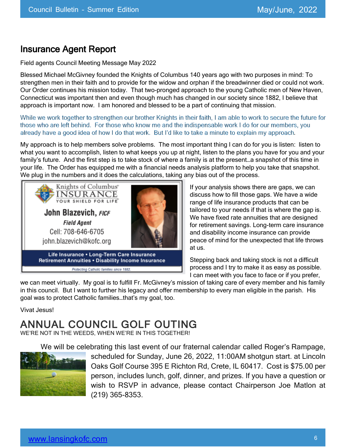## Insurance Agent Report

Field agents Council Meeting Message May 2022

Blessed Michael McGivney founded the Knights of Columbus 140 years ago with two purposes in mind: To strengthen men in their faith and to provide for the widow and orphan if the breadwinner died or could not work. Our Order continues his mission today. That two-pronged approach to the young Catholic men of New Haven, Connecticut was important then and even though much has changed in our society since 1882, I believe that approach is important now. I am honored and blessed to be a part of continuing that mission.

While we work together to strengthen our brother Knights in their faith, I am able to work to secure the future for those who are left behind. For those who know me and the indispensable work I do for our members, you already have a good idea of how I do that work. But I'd like to take a minute to explain my approach.

My approach is to help members solve problems. The most important thing I can do for you is listen: listen to what you want to accomplish, listen to what keeps you up at night, listen to the plans you have for you and your family's future. And the first step is to take stock of where a family is at the present…a snapshot of this time in your life. The Order has equipped me with a financial needs analysis platform to help you take that snapshot. We plug in the numbers and it does the calculations, taking any bias out of the process.



If your analysis shows there are gaps, we can discuss how to fill those gaps. We have a wide range of life insurance products that can be tailored to your needs if that is where the gap is. We have fixed rate annuities that are designed for retirement savings. Long-term care insurance and disability income insurance can provide peace of mind for the unexpected that life throws at us.

Stepping back and taking stock is not a difficult process and I try to make it as easy as possible. I can meet with you face to face or if you prefer,

we can meet virtually. My goal is to fulfill Fr. McGivney's mission of taking care of every member and his family in this council. But I want to further his legacy and offer membership to every man eligible in the parish. His goal was to protect Catholic families…that's my goal, too.

Vivat Jesus!

## ANNUAL COUNCIL GOLF OUTING

WE'RE NOT IN THE WEEDS, WHEN WE'RE IN THIS TOGETHER!

We will be celebrating this last event of our fraternal calendar called Roger's Rampage,



scheduled for Sunday, June 26, 2022, 11:00AM shotgun start. at Lincoln Oaks Golf Course 395 E Richton Rd, Crete, IL 60417. Cost is \$75.00 per person, includes lunch, golf, dinner, and prizes. If you have a question or wish to RSVP in advance, please contact Chairperson Joe Matlon at (219) 365-8353.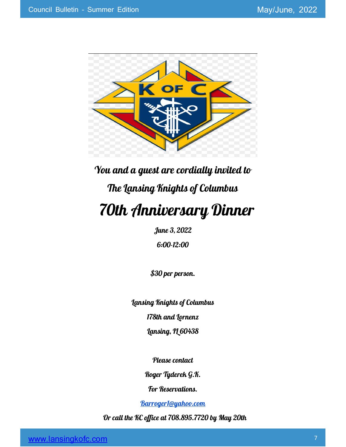

# You and a guest are cordially invited to The Lansing Knights of Columbus 70th Anniversary Dinner

June 3, 2022

6:00-12:00

\$30 per person.

Lansing Knights of Columbus

178th and Lornenz

Lansing, IL 60438

Please contact

Roger Tyderek G.K.

For Reservations.

Barroger1@yahoo.com

Or call the KC office at 708.895.7720 by May 20th

www.lansingkofc.com **7 7**